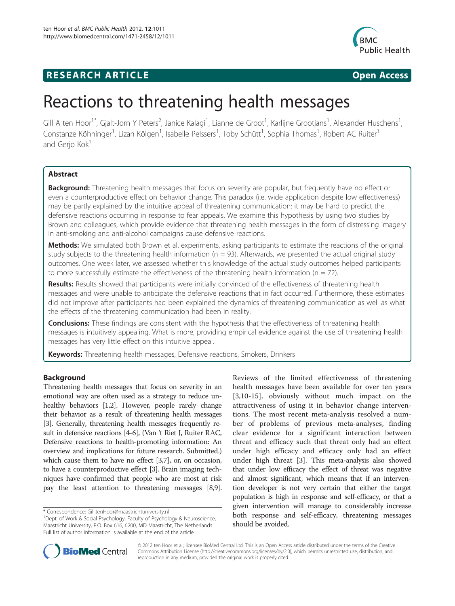# **RESEARCH ARTICLE Example 2014 CONSIDERING CONSIDERING CONSIDERING CONSIDERING CONSIDERING CONSIDERING CONSIDERING CONSIDERING CONSIDERING CONSIDERING CONSIDERING CONSIDERING CONSIDERING CONSIDERING CONSIDERING CONSIDE**



# Reactions to threatening health messages

Gill A ten Hoor<sup>1\*</sup>, Gjalt-Jorn Y Peters<sup>2</sup>, Janice Kalagi<sup>1</sup>, Lianne de Groot<sup>1</sup>, Karlijne Grootjans<sup>1</sup>, Alexander Huschens<sup>1</sup> , Constanze Köhninger<sup>1</sup>, Lizan Kölgen<sup>1</sup>, Isabelle Pelssers<sup>1</sup>, Toby Schütt<sup>1</sup>, Sophia Thomas<sup>1</sup>, Robert AC Ruiter<sup>1</sup> and Gerio Kok<sup>1</sup>

# Abstract

Background: Threatening health messages that focus on severity are popular, but frequently have no effect or even a counterproductive effect on behavior change. This paradox (i.e. wide application despite low effectiveness) may be partly explained by the intuitive appeal of threatening communication: it may be hard to predict the defensive reactions occurring in response to fear appeals. We examine this hypothesis by using two studies by Brown and colleagues, which provide evidence that threatening health messages in the form of distressing imagery in anti-smoking and anti-alcohol campaigns cause defensive reactions.

Methods: We simulated both Brown et al. experiments, asking participants to estimate the reactions of the original study subjects to the threatening health information ( $n = 93$ ). Afterwards, we presented the actual original study outcomes. One week later, we assessed whether this knowledge of the actual study outcomes helped participants to more successfully estimate the effectiveness of the threatening health information ( $n = 72$ ).

Results: Results showed that participants were initially convinced of the effectiveness of threatening health messages and were unable to anticipate the defensive reactions that in fact occurred. Furthermore, these estimates did not improve after participants had been explained the dynamics of threatening communication as well as what the effects of the threatening communication had been in reality.

**Conclusions:** These findings are consistent with the hypothesis that the effectiveness of threatening health messages is intuitively appealing. What is more, providing empirical evidence against the use of threatening health messages has very little effect on this intuitive appeal.

Keywords: Threatening health messages, Defensive reactions, Smokers, Drinkers

# Background

Threatening health messages that focus on severity in an emotional way are often used as a strategy to reduce unhealthy behaviors [\[1,2\]](#page-7-0). However, people rarely change their behavior as a result of threatening health messages [[3](#page-7-0)]. Generally, threatening health messages frequently result in defensive reactions [\[4-6](#page-7-0)], (Van 't Riet J, Ruiter RAC, Defensive reactions to health-promoting information: An overview and implications for future research. Submitted.) which cause them to have no effect [\[3,7\]](#page-7-0), or, on occasion, to have a counterproductive effect [[3\]](#page-7-0). Brain imaging techniques have confirmed that people who are most at risk pay the least attention to threatening messages [[8,9](#page-7-0)].

Reviews of the limited effectiveness of threatening health messages have been available for over ten years [[3,10](#page-7-0)-[15\]](#page-7-0), obviously without much impact on the attractiveness of using it in behavior change interventions. The most recent meta-analysis resolved a number of problems of previous meta-analyses, finding clear evidence for a significant interaction between threat and efficacy such that threat only had an effect under high efficacy and efficacy only had an effect under high threat [[3\]](#page-7-0). This meta-analysis also showed that under low efficacy the effect of threat was negative and almost significant, which means that if an intervention developer is not very certain that either the target population is high in response and self-efficacy, or that a given intervention will manage to considerably increase both response and self-efficacy, threatening messages should be avoided.



© 2012 ten Hoor et al.; licensee BioMed Central Ltd. This is an Open Access article distributed under the terms of the Creative Commons Attribution License [\(http://creativecommons.org/licenses/by/2.0\)](http://creativecommons.org/licenses/by/2.0), which permits unrestricted use, distribution, and reproduction in any medium, provided the original work is properly cited.

<sup>\*</sup> Correspondence: [Gill.tenHoor@maastrichtuniversity.nl](mailto:Gill.tenHoor@maastrichtuniversity.nl) <sup>1</sup>

<sup>&</sup>lt;sup>1</sup>Dept. of Work & Social Psychology, Faculty of Psychology & Neuroscience, Maastricht University, P.O. Box 616, 6200, MD Maastricht, The Netherlands Full list of author information is available at the end of the article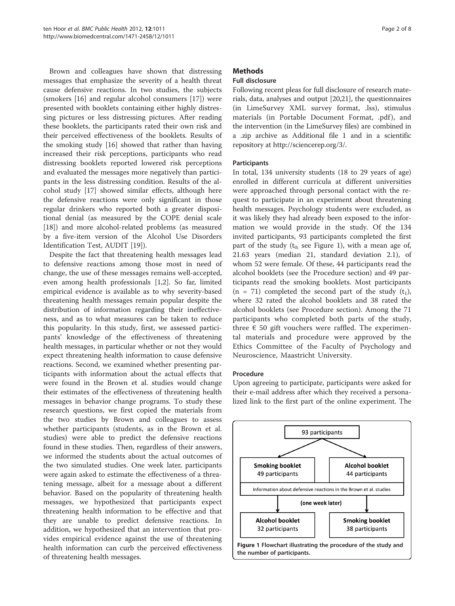<span id="page-1-0"></span>Brown and colleagues have shown that distressing messages that emphasize the severity of a health threat cause defensive reactions. In two studies, the subjects (smokers [\[16](#page-7-0)] and regular alcohol consumers [[17](#page-7-0)]) were presented with booklets containing either highly distressing pictures or less distressing pictures. After reading these booklets, the participants rated their own risk and their perceived effectiveness of the booklets. Results of the smoking study [\[16](#page-7-0)] showed that rather than having increased their risk perceptions, participants who read distressing booklets reported lowered risk perceptions and evaluated the messages more negatively than participants in the less distressing condition. Results of the alcohol study [[17](#page-7-0)] showed similar effects, although here the defensive reactions were only significant in those regular drinkers who reported both a greater dispositional denial (as measured by the COPE denial scale [[18\]](#page-7-0)) and more alcohol-related problems (as measured by a five-item version of the Alcohol Use Disorders Identification Test, AUDIT [\[19\]](#page-7-0)).

Despite the fact that threatening health messages lead to defensive reactions among those most in need of change, the use of these messages remains well-accepted, even among health professionals [[1,2\]](#page-7-0). So far, limited empirical evidence is available as to why severity-based threatening health messages remain popular despite the distribution of information regarding their ineffectiveness, and as to what measures can be taken to reduce this popularity. In this study, first, we assessed participants' knowledge of the effectiveness of threatening health messages, in particular whether or not they would expect threatening health information to cause defensive reactions. Second, we examined whether presenting participants with information about the actual effects that were found in the Brown et al. studies would change their estimates of the effectiveness of threatening health messages in behavior change programs. To study these research questions, we first copied the materials from the two studies by Brown and colleagues to assess whether participants (students, as in the Brown et al. studies) were able to predict the defensive reactions found in these studies. Then, regardless of their answers, we informed the students about the actual outcomes of the two simulated studies. One week later, participants were again asked to estimate the effectiveness of a threatening message, albeit for a message about a different behavior. Based on the popularity of threatening health messages, we hypothesized that participants expect threatening health information to be effective and that they are unable to predict defensive reactions. In addition, we hypothesized that an intervention that provides empirical evidence against the use of threatening health information can curb the perceived effectiveness of threatening health messages.

# **Methods**

# Full disclosure

Following recent pleas for full disclosure of research materials, data, analyses and output [\[20,21\]](#page-7-0), the questionnaires (in LimeSurvey XML survey format, .lss), stimulus materials (in Portable Document Format, .pdf), and the intervention (in the LimeSurvey files) are combined in a .zip archive as Additional file [1](#page-6-0) and in a scientific repository at [http://sciencerep.org/3/.](http://sciencerep.org/3/)

# **Participants**

In total, 134 university students (18 to 29 years of age) enrolled in different curricula at different universities were approached through personal contact with the request to participate in an experiment about threatening health messages. Psychology students were excluded, as it was likely they had already been exposed to the information we would provide in the study. Of the 134 invited participants, 93 participants completed the first part of the study ( $t_0$  see Figure 1), with a mean age of, 21.63 years (median 21, standard deviation 2.1), of whom 52 were female. Of these, 44 participants read the alcohol booklets (see the Procedure section) and 49 participants read the smoking booklets. Most participants  $(n = 71)$  completed the second part of the study  $(t_1)$ , where 32 rated the alcohol booklets and 38 rated the alcohol booklets (see Procedure section). Among the 71 participants who completed both parts of the study, three  $\epsilon$  50 gift vouchers were raffled. The experimental materials and procedure were approved by the Ethics Committee of the Faculty of Psychology and Neuroscience, Maastricht University.

#### Procedure

Upon agreeing to participate, participants were asked for their e-mail address after which they received a personalized link to the first part of the online experiment. The

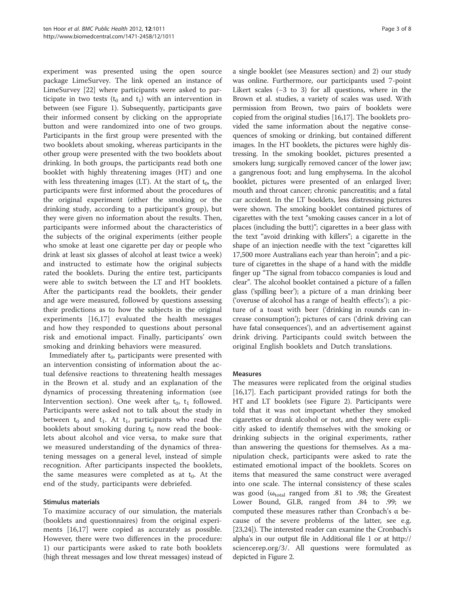experiment was presented using the open source package LimeSurvey. The link opened an instance of LimeSurvey [\[22](#page-7-0)] where participants were asked to participate in two tests  $(t_0$  and  $t_1$ ) with an intervention in between (see Figure [1\)](#page-1-0). Subsequently, participants gave their informed consent by clicking on the appropriate button and were randomized into one of two groups. Participants in the first group were presented with the two booklets about smoking, whereas participants in the other group were presented with the two booklets about drinking. In both groups, the participants read both one booklet with highly threatening images (HT) and one with less threatening images (LT). At the start of  $t_0$ , the participants were first informed about the procedures of the original experiment (either the smoking or the drinking study, according to a participant's group), but they were given no information about the results. Then, participants were informed about the characteristics of the subjects of the original experiments (either people who smoke at least one cigarette per day or people who drink at least six glasses of alcohol at least twice a week) and instructed to estimate how the original subjects rated the booklets. During the entire test, participants were able to switch between the LT and HT booklets. After the participants read the booklets, their gender and age were measured, followed by questions assessing their predictions as to how the subjects in the original experiments [[16,17\]](#page-7-0) evaluated the health messages and how they responded to questions about personal risk and emotional impact. Finally, participants' own smoking and drinking behaviors were measured.

Immediately after  $t_0$ , participants were presented with an intervention consisting of information about the actual defensive reactions to threatening health messages in the Brown et al. study and an explanation of the dynamics of processing threatening information (see [Intervention](#page-3-0) section). One week after  $t_0$ ,  $t_1$  followed. Participants were asked not to talk about the study in between  $t_0$  and  $t_1$ . At  $t_1$ , participants who read the booklets about smoking during  $t_0$  now read the booklets about alcohol and vice versa, to make sure that we measured understanding of the dynamics of threatening messages on a general level, instead of simple recognition. After participants inspected the booklets, the same measures were completed as at  $t_0$ . At the end of the study, participants were debriefed.

#### Stimulus materials

To maximize accuracy of our simulation, the materials (booklets and questionnaires) from the original experiments [[16,17\]](#page-7-0) were copied as accurately as possible. However, there were two differences in the procedure: 1) our participants were asked to rate both booklets (high threat messages and low threat messages) instead of

a single booklet (see Measures section) and 2) our study was online. Furthermore, our participants used 7-point Likert scales (−3 to 3) for all questions, where in the Brown et al. studies, a variety of scales was used. With permission from Brown, two pairs of booklets were copied from the original studies [\[16,17\]](#page-7-0). The booklets provided the same information about the negative consequences of smoking or drinking, but contained different images. In the HT booklets, the pictures were highly distressing. In the smoking booklet, pictures presented a smokers lung; surgically removed cancer of the lower jaw; a gangrenous foot; and lung emphysema. In the alcohol booklet, pictures were presented of an enlarged liver; mouth and throat cancer; chronic pancreatitis; and a fatal car accident. In the LT booklets, less distressing pictures were shown. The smoking booklet contained pictures of cigarettes with the text "smoking causes cancer in a lot of places (including the butt)"; cigarettes in a beer glass with the text "avoid drinking with killers"; a cigarette in the shape of an injection needle with the text "cigarettes kill 17,500 more Australians each year than heroin"; and a picture of cigarettes in the shape of a hand with the middle finger up "The signal from tobacco companies is loud and clear". The alcohol booklet contained a picture of a fallen glass ('spilling beer'); a picture of a man drinking beer ('overuse of alcohol has a range of health effects'); a picture of a toast with beer ('drinking in rounds can increase consumption'); pictures of cars ('drink driving can have fatal consequences'), and an advertisement against drink driving. Participants could switch between the original English booklets and Dutch translations.

#### Measures

The measures were replicated from the original studies [[16,17\]](#page-7-0). Each participant provided ratings for both the HT and LT booklets (see Figure [2](#page-3-0)). Participants were told that it was not important whether they smoked cigarettes or drank alcohol or not, and they were explicitly asked to identify themselves with the smoking or drinking subjects in the original experiments, rather than answering the questions for themselves. As a manipulation check, participants were asked to rate the estimated emotional impact of the booklets. Scores on items that measured the same construct were averaged into one scale. The internal consistency of these scales was good ( $\omega_{\text{total}}$  ranged from .81 to .98; the Greatest Lower Bound, GLB, ranged from .84 to .99; we computed these measures rather than Cronbach's α because of the severe problems of the latter, see e.g. [[23](#page-7-0),[24](#page-7-0)]). The interested reader can examine the Cronbach's alpha's in our output file in Additional file [1](#page-6-0) or at [http://](http://sciencerep.org/3/) [sciencerep.org/3/.](http://sciencerep.org/3/) All questions were formulated as depicted in Figure [2](#page-3-0).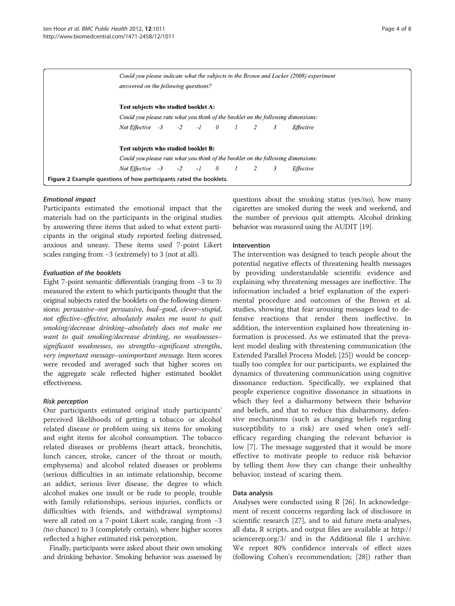<span id="page-3-0"></span>Could you please indicate what the subjects in the Brown and Locker (2008) experiment answered on the following questions? Test subjects who studied booklet A: Could you please rate what you think of the booklet on the following dimensions: Not Effective -3  $-2$  $-I$  $\theta$  $\mathcal{I}$  $\overline{z}$ Effective Test subjects who studied booklet B: Could you please rate what you think of the booklet on the following dimensions:  $\boldsymbol{\theta}$  $\boldsymbol{l}$  $\overline{c}$ Not Effective -3  $-2$  $-I$  $\mathfrak{Z}$ Effective

Figure 2 Example questions of how participants rated the booklets.

#### Emotional impact

Participants estimated the emotional impact that the materials had on the participants in the original studies by answering three items that asked to what extent participants in the original study reported feeling distressed, anxious and uneasy. These items used 7-point Likert scales ranging from −3 (extremely) to 3 (not at all).

#### Evaluation of the booklets

Eight 7-point semantic differentials (ranging from −3 to 3) measured the extent to which participants thought that the original subjects rated the booklets on the following dimensions: persuasive–not persuasive, bad–good, clever–stupid, not effective–effective, absolutely makes me want to quit smoking/decrease drinking–absolutely does not make me want to quit smoking/decrease drinking, no weaknesses– significant weaknesses, no strengths–significant strengths, very important message–unimportant message. Item scores were recoded and averaged such that higher scores on the aggregate scale reflected higher estimated booklet effectiveness.

#### Risk perception

Our participants estimated original study participants' perceived likelihoods of getting a tobacco or alcohol related disease or problem using six items for smoking and eight items for alcohol consumption. The tobacco related diseases or problems (heart attack, bronchitis, lunch cancer, stroke, cancer of the throat or mouth, emphysema) and alcohol related diseases or problems (serious difficulties in an intimate relationship, become an addict, serious liver disease, the degree to which alcohol makes one insult or be rude to people, trouble with family relationships, serious injuries, conflicts or difficulties with friends, and withdrawal symptoms) were all rated on a 7-point Likert scale, ranging from −3 (no chance) to 3 (completely certain), where higher scores reflected a higher estimated risk perception.

Finally, participants were asked about their own smoking and drinking behavior. Smoking behavior was assessed by questions about the smoking status (yes/no), how many cigarettes are smoked during the week and weekend, and the number of previous quit attempts. Alcohol drinking behavior was measured using the AUDIT [[19](#page-7-0)].

#### Intervention

The intervention was designed to teach people about the potential negative effects of threatening health messages by providing understandable scientific evidence and explaining why threatening messages are ineffective. The information included a brief explanation of the experimental procedure and outcomes of the Brown et al. studies, showing that fear arousing messages lead to defensive reactions that render them ineffective. In addition, the intervention explained how threatening information is processed. As we estimated that the prevalent model dealing with threatening communication (the Extended Parallel Process Model; [[25](#page-7-0)]) would be conceptually too complex for our participants, we explained the dynamics of threatening communication using cognitive dissonance reduction. Specifically, we explained that people experience cognitive dissonance in situations in which they feel a disharmony between their behavior and beliefs, and that to reduce this disharmony, defensive mechanisms (such as changing beliefs regarding susceptibility to a risk) are used when one's selfefficacy regarding changing the relevant behavior is low [[7\]](#page-7-0). The message suggested that it would be more effective to motivate people to reduce risk behavior by telling them *how* they can change their unhealthy behavior, instead of scaring them.

#### Data analysis

Analyses were conducted using R [[26](#page-7-0)]. In acknowledgement of recent concerns regarding lack of disclosure in scientific research [\[27](#page-7-0)], and to aid future meta-analyses, all data, R scripts, and output files are available at [http://](http://sciencerep.org/3/) [sciencerep.org/3/](http://sciencerep.org/3/) and in the Additional file [1](#page-6-0) archive. We report 80% confidence intervals of effect sizes (following Cohen's recommendation; [[28\]](#page-7-0)) rather than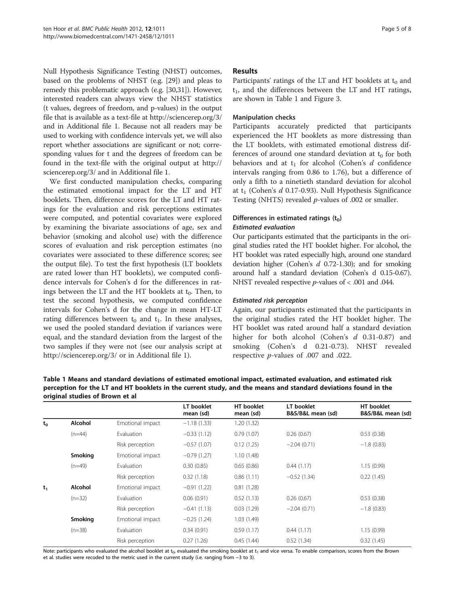Null Hypothesis Significance Testing (NHST) outcomes, based on the problems of NHST (e.g. [\[29\]](#page-7-0)) and pleas to remedy this problematic approach (e.g. [\[30,31\]](#page-7-0)). However, interested readers can always view the NHST statistics (t values, degrees of freedom, and p-values) in the output file that is available as a text-file at<http://sciencerep.org/3/> and in Additional file [1](#page-6-0). Because not all readers may be used to working with confidence intervals yet, we will also report whether associations are significant or not; corresponding values for t and the degrees of freedom can be found in the text-file with the original output at [http://](http://sciencerep.org/3/) [sciencerep.org/3/](http://sciencerep.org/3/) and in Additional file [1](#page-6-0).

We first conducted manipulation checks, comparing the estimated emotional impact for the LT and HT booklets. Then, difference scores for the LT and HT ratings for the evaluation and risk perceptions estimates were computed, and potential covariates were explored by examining the bivariate associations of age, sex and behavior (smoking and alcohol use) with the difference scores of evaluation and risk perception estimates (no covariates were associated to these difference scores; see the output file). To test the first hypothesis (LT booklets are rated lower than HT booklets), we computed confidence intervals for Cohen's d for the differences in ratings between the LT and the HT booklets at  $t_0$ . Then, to test the second hypothesis, we computed confidence intervals for Cohen's d for the change in mean HT-LT rating differences between  $t_0$  and  $t_1$ . In these analyses, we used the pooled standard deviation if variances were equal, and the standard deviation from the largest of the two samples if they were not (see our analysis script at <http://sciencerep.org/3/> or in Additional file [1](#page-6-0)).

## Results

Participants' ratings of the LT and HT booklets at  $t_0$  and  $t_1$ , and the differences between the LT and HT ratings, are shown in Table 1 and Figure [3.](#page-5-0)

#### Manipulation checks

Participants accurately predicted that participants experienced the HT booklets as more distressing than the LT booklets, with estimated emotional distress differences of around one standard deviation at  $t_0$  for both behaviors and at  $t_1$  for alcohol (Cohen's d confidence intervals ranging from 0.86 to 1.76), but a difference of only a fifth to a ninetieth standard deviation for alcohol at  $t_1$  (Cohen's  $d$  0.17-0.93). Null Hypothesis Significance Testing (NHTS) revealed *p*-values of .002 or smaller.

#### Differences in estimated ratings  $(t_0)$ Estimated evaluation

Our participants estimated that the participants in the original studies rated the HT booklet higher. For alcohol, the HT booklet was rated especially high, around one standard deviation higher (Cohen's d 0.72-1.30); and for smoking around half a standard deviation (Cohen's d 0.15-0.67). NHST revealed respective p-values of < .001 and .044.

### Estimated risk perception

Again, our participants estimated that the participants in the original studies rated the HT booklet higher. The HT booklet was rated around half a standard deviation higher for both alcohol (Cohen's d 0.31-0.87) and smoking (Cohen's d 0.21-0.73). NHST revealed respective p-values of .007 and .022.

Table 1 Means and standard deviations of estimated emotional impact, estimated evaluation, and estimated risk perception for the LT and HT booklets in the current study, and the means and standard deviations found in the original studies of Brown et al

|       |          |                  | LT booklet<br>mean (sd) | HT booklet<br>mean (sd) | LT booklet<br>B&S/B&L mean (sd) | HT booklet<br>B&S/B&L mean (sd) |
|-------|----------|------------------|-------------------------|-------------------------|---------------------------------|---------------------------------|
| $t_0$ | Alcohol  | Emotional impact | $-1.18(1.33)$           | 1.20(1.32)              |                                 |                                 |
|       | $(n=44)$ | Evaluation       | $-0.33(1.12)$           | 0.79(1.07)              | 0.26(0.67)                      | 0.53(0.38)                      |
|       |          | Risk perception  | $-0.57(1.07)$           | 0.12(1.25)              | $-2.04(0.71)$                   | $-1.8(0.83)$                    |
|       | Smoking  | Emotional impact | $-0.79(1.27)$           | 1.10(1.48)              |                                 |                                 |
|       | $(n=49)$ | Evaluation       | 0.30(0.85)              | 0.65(0.86)              | 0.44(1.17)                      | 1.15(0.99)                      |
|       |          | Risk perception  | 0.32(1.18)              | 0.86(1.11)              | $-0.52(1.34)$                   | 0.22(1.45)                      |
| $t_1$ | Alcohol  | Emotional impact | $-0.91(1.22)$           | 0.81(1.28)              |                                 |                                 |
|       | $(n=32)$ | Evaluation       | 0.06(0.91)              | 0.52(1.13)              | 0.26(0.67)                      | 0.53(0.38)                      |
|       |          | Risk perception  | $-0.41(1.13)$           | 0.03(1.29)              | $-2.04(0.71)$                   | $-1.8(0.83)$                    |
|       | Smoking  | Emotional impact | $-0.25(1.24)$           | 1.03 (1.49)             |                                 |                                 |
|       | $(n=38)$ | Evaluation       | 0.34(0.91)              | 0.59(1.17)              | 0.44(1.17)                      | 1.15(0.99)                      |
|       |          | Risk perception  | 0.27(1.26)              | 0.45(1.44)              | 0.52(1.34)                      | 0.32(1.45)                      |

Note: participants who evaluated the alcohol booklet at  $t_0$ , evaluated the smoking booklet at  $t_1$  and vice versa. To enable comparison, scores from the Brown et al. studies were recoded to the metric used in the current study (i.e. ranging from −3 to 3).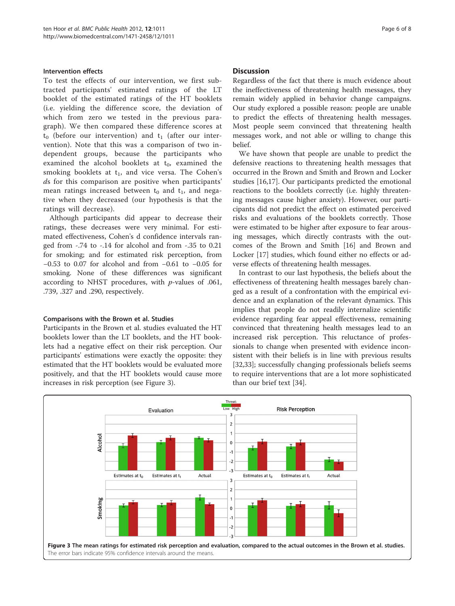#### <span id="page-5-0"></span>Intervention effects

To test the effects of our intervention, we first subtracted participants' estimated ratings of the LT booklet of the estimated ratings of the HT booklets (i.e. yielding the difference score, the deviation of which from zero we tested in the previous paragraph). We then compared these difference scores at  $t_0$  (before our intervention) and  $t_1$  (after our intervention). Note that this was a comparison of two independent groups, because the participants who examined the alcohol booklets at  $t_0$ , examined the smoking booklets at  $t_1$ , and vice versa. The Cohen's ds for this comparison are positive when participants' mean ratings increased between  $t_0$  and  $t_1$ , and negative when they decreased (our hypothesis is that the ratings will decrease).

Although participants did appear to decrease their ratings, these decreases were very minimal. For estimated effectiveness, Cohen's d confidence intervals ranged from -.74 to -.14 for alcohol and from -.35 to 0.21 for smoking; and for estimated risk perception, from −0.53 to 0.07 for alcohol and from −0.61 to −0.05 for smoking. None of these differences was significant according to NHST procedures, with  $p$ -values of .061, .739, .327 and .290, respectively.

# Comparisons with the Brown et al. Studies

Participants in the Brown et al. studies evaluated the HT booklets lower than the LT booklets, and the HT booklets had a negative effect on their risk perception. Our participants' estimations were exactly the opposite: they estimated that the HT booklets would be evaluated more positively, and that the HT booklets would cause more increases in risk perception (see Figure 3).

### **Discussion**

Regardless of the fact that there is much evidence about the ineffectiveness of threatening health messages, they remain widely applied in behavior change campaigns. Our study explored a possible reason: people are unable to predict the effects of threatening health messages. Most people seem convinced that threatening health messages work, and not able or willing to change this belief.

We have shown that people are unable to predict the defensive reactions to threatening health messages that occurred in the Brown and Smith and Brown and Locker studies [\[16,17](#page-7-0)]. Our participants predicted the emotional reactions to the booklets correctly (i.e. highly threatening messages cause higher anxiety). However, our participants did not predict the effect on estimated perceived risks and evaluations of the booklets correctly. Those were estimated to be higher after exposure to fear arousing messages, which directly contrasts with the outcomes of the Brown and Smith [[16\]](#page-7-0) and Brown and Locker [\[17\]](#page-7-0) studies, which found either no effects or adverse effects of threatening health messages.

In contrast to our last hypothesis, the beliefs about the effectiveness of threatening health messages barely changed as a result of a confrontation with the empirical evidence and an explanation of the relevant dynamics. This implies that people do not readily internalize scientific evidence regarding fear appeal effectiveness, remaining convinced that threatening health messages lead to an increased risk perception. This reluctance of professionals to change when presented with evidence inconsistent with their beliefs is in line with previous results [[32,33\]](#page-7-0); successfully changing professionals beliefs seems to require interventions that are a lot more sophisticated than our brief text [\[34](#page-7-0)].

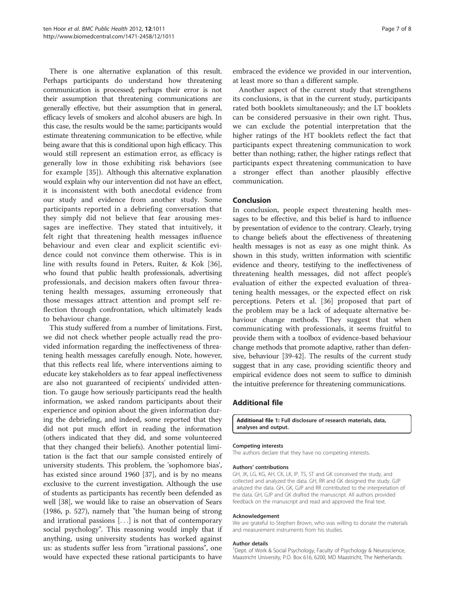<span id="page-6-0"></span>There is one alternative explanation of this result. Perhaps participants do understand how threatening communication is processed; perhaps their error is not their assumption that threatening communications are generally effective, but their assumption that in general, efficacy levels of smokers and alcohol abusers are high. In this case, the results would be the same; participants would estimate threatening communication to be effective, while being aware that this is conditional upon high efficacy. This would still represent an estimation error, as efficacy is generally low in those exhibiting risk behaviors (see for example [[35](#page-7-0)]). Although this alternative explanation would explain why our intervention did not have an effect, it is inconsistent with both anecdotal evidence from our study and evidence from another study. Some participants reported in a debriefing conversation that they simply did not believe that fear arousing messages are ineffective. They stated that intuitively, it felt right that threatening health messages influence behaviour and even clear and explicit scientific evidence could not convince them otherwise. This is in line with results found in Peters, Ruiter, & Kok [\[36](#page-7-0)], who found that public health professionals, advertising professionals, and decision makers often favour threatening health messages, assuming erroneously that those messages attract attention and prompt self reflection through confrontation, which ultimately leads to behaviour change.

This study suffered from a number of limitations. First, we did not check whether people actually read the provided information regarding the ineffectiveness of threatening health messages carefully enough. Note, however, that this reflects real life, where interventions aiming to educate key stakeholders as to fear appeal ineffectiveness are also not guaranteed of recipients' undivided attention. To gauge how seriously participants read the health information, we asked random participants about their experience and opinion about the given information during the debriefing, and indeed, some reported that they did not put much effort in reading the information (others indicated that they did, and some volunteered that they changed their beliefs). Another potential limitation is the fact that our sample consisted entirely of university students. This problem, the 'sophomore bias', has existed since around 1960 [\[37](#page-7-0)], and is by no means exclusive to the current investigation. Although the use of students as participants has recently been defended as well [[38\]](#page-7-0), we would like to raise an observation of Sears (1986, p. 527), namely that "the human being of strong and irrational passions [...] is not that of contemporary social psychology". This reasoning would imply that if anything, using university students has worked against us: as students suffer less from "irrational passions", one would have expected these rational participants to have

embraced the evidence we provided in our intervention, at least more so than a different sample.

Another aspect of the current study that strengthens its conclusions, is that in the current study, participants rated both booklets simultaneously; and the LT booklets can be considered persuasive in their own right. Thus, we can exclude the potential interpretation that the higher ratings of the HT booklets reflect the fact that participants expect threatening communication to work better than nothing; rather, the higher ratings reflect that participants expect threatening communication to have a stronger effect than another plausibly effective communication.

## Conclusion

In conclusion, people expect threatening health messages to be effective, and this belief is hard to influence by presentation of evidence to the contrary. Clearly, trying to change beliefs about the effectiveness of threatening health messages is not as easy as one might think. As shown in this study, written information with scientific evidence and theory, testifying to the ineffectiveness of threatening health messages, did not affect people's evaluation of either the expected evaluation of threatening health messages, or the expected effect on risk perceptions. Peters et al. [\[36](#page-7-0)] proposed that part of the problem may be a lack of adequate alternative behaviour change methods. They suggest that when communicating with professionals, it seems fruitful to provide them with a toolbox of evidence-based behaviour change methods that promote adaptive, rather than defensive, behaviour [\[39](#page-7-0)-[42](#page-7-0)]. The results of the current study suggest that in any case, providing scientific theory and empirical evidence does not seem to suffice to diminish the intuitive preference for threatening communications.

### Additional file

[Additional file 1:](http://www.biomedcentral.com/content/supplementary/1471-2458-12-1011-S1.zip) Full disclosure of research materials, data, analyses and output.

#### Competing interests

The authors declare that they have no competing interests.

#### Authors' contributions

GH, JK, LG, KG, AH, CK, LK, IP, TS, ST and GK conceived the study, and collected and analyzed the data. GH, RR and GK designed the study. GJP analyzed the data. GH, GK, GJP and RR contributed to the interpretation of the data. GH, GJP and GK drafted the manuscript. All authors provided feedback on the manuscript and read and approved the final text.

#### Acknowledgement

We are grateful to Stephen Brown, who was willing to donate the materials and measurement instruments from his studies.

#### Author details

<sup>1</sup> Dept. of Work & Social Psychology, Faculty of Psychology & Neuroscience Maastricht University, P.O. Box 616, 6200, MD Maastricht, The Netherlands.